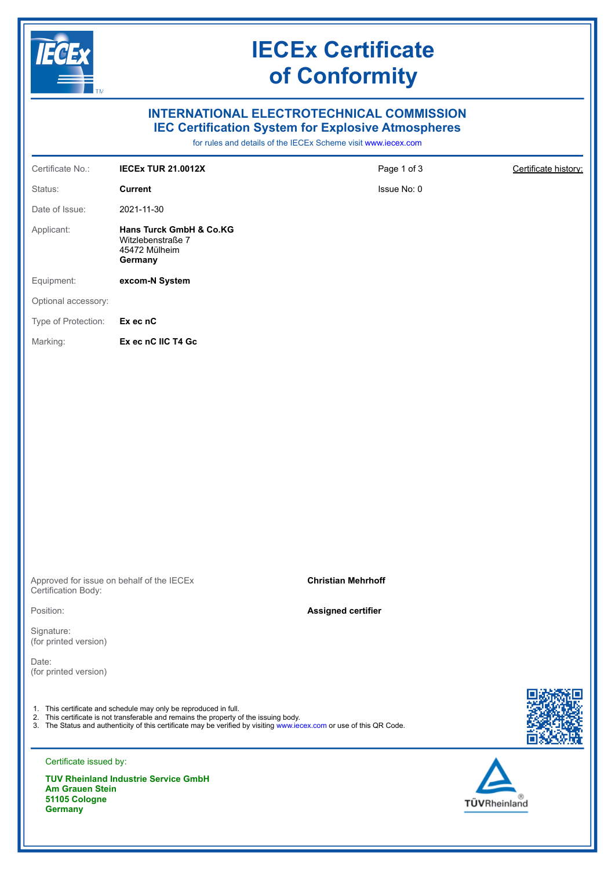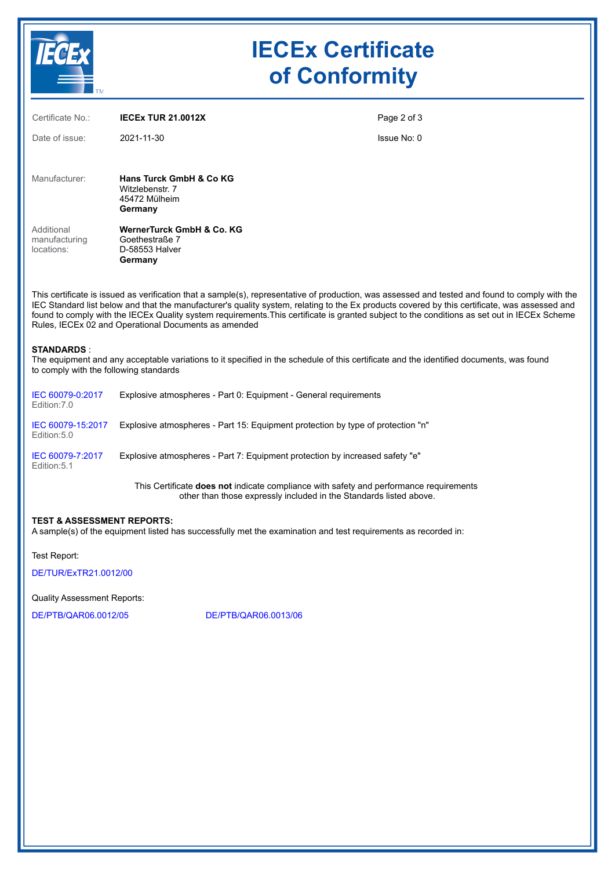

# **IECEx Certificate of Conformity**

| Certificate No.:                                                                                                                                                                                                                                                                                                                                                                                                                                                                                         | <b>IECEX TUR 21.0012X</b>                                                       | Page 2 of 3 |  |  |
|----------------------------------------------------------------------------------------------------------------------------------------------------------------------------------------------------------------------------------------------------------------------------------------------------------------------------------------------------------------------------------------------------------------------------------------------------------------------------------------------------------|---------------------------------------------------------------------------------|-------------|--|--|
| Date of issue:                                                                                                                                                                                                                                                                                                                                                                                                                                                                                           | 2021-11-30                                                                      | Issue No: 0 |  |  |
|                                                                                                                                                                                                                                                                                                                                                                                                                                                                                                          |                                                                                 |             |  |  |
| Manufacturer:                                                                                                                                                                                                                                                                                                                                                                                                                                                                                            | <b>Hans Turck GmbH &amp; Co KG</b><br>Witzlebenstr. 7                           |             |  |  |
|                                                                                                                                                                                                                                                                                                                                                                                                                                                                                                          | 45472 Mülheim<br>Germany                                                        |             |  |  |
| Additional                                                                                                                                                                                                                                                                                                                                                                                                                                                                                               | WernerTurck GmbH & Co. KG                                                       |             |  |  |
| manufacturing<br>locations:                                                                                                                                                                                                                                                                                                                                                                                                                                                                              | Goethestraße 7<br>D-58553 Halver                                                |             |  |  |
|                                                                                                                                                                                                                                                                                                                                                                                                                                                                                                          | Germany                                                                         |             |  |  |
| This certificate is issued as verification that a sample(s), representative of production, was assessed and tested and found to comply with the<br>IEC Standard list below and that the manufacturer's quality system, relating to the Ex products covered by this certificate, was assessed and<br>found to comply with the IECEx Quality system requirements. This certificate is granted subject to the conditions as set out in IECEx Scheme<br>Rules, IECEx 02 and Operational Documents as amended |                                                                                 |             |  |  |
| <b>STANDARDS:</b><br>The equipment and any acceptable variations to it specified in the schedule of this certificate and the identified documents, was found<br>to comply with the following standards                                                                                                                                                                                                                                                                                                   |                                                                                 |             |  |  |
| IEC 60079-0:2017<br>Edition: 7.0                                                                                                                                                                                                                                                                                                                                                                                                                                                                         | Explosive atmospheres - Part 0: Equipment - General requirements                |             |  |  |
| IEC 60079-15:2017<br>Edition: 5.0                                                                                                                                                                                                                                                                                                                                                                                                                                                                        | Explosive atmospheres - Part 15: Equipment protection by type of protection "n" |             |  |  |
| IEC 60079-7:2017<br>Edition: 5.1                                                                                                                                                                                                                                                                                                                                                                                                                                                                         | Explosive atmospheres - Part 7: Equipment protection by increased safety "e"    |             |  |  |
| This Certificate <b>does not</b> indicate compliance with safety and performance requirements                                                                                                                                                                                                                                                                                                                                                                                                            |                                                                                 |             |  |  |

other than those expressly included in the Standards listed above.

### **TEST & ASSESSMENT REPORTS:**

A sample(s) of the equipment listed has successfully met the examination and test requirements as recorded in:

Test Report:

[DE/TUR/ExTR21.0012/00](https://www.iecex-certs.com/#/deliverables/REPORT/71784/view)

Quality Assessment Reports:

[DE/PTB/QAR06.0012/05](https://www.iecex-certs.com/#/deliverables/REPORT/71652/view) [DE/PTB/QAR06.0013/06](https://www.iecex-certs.com/#/deliverables/REPORT/71653/view)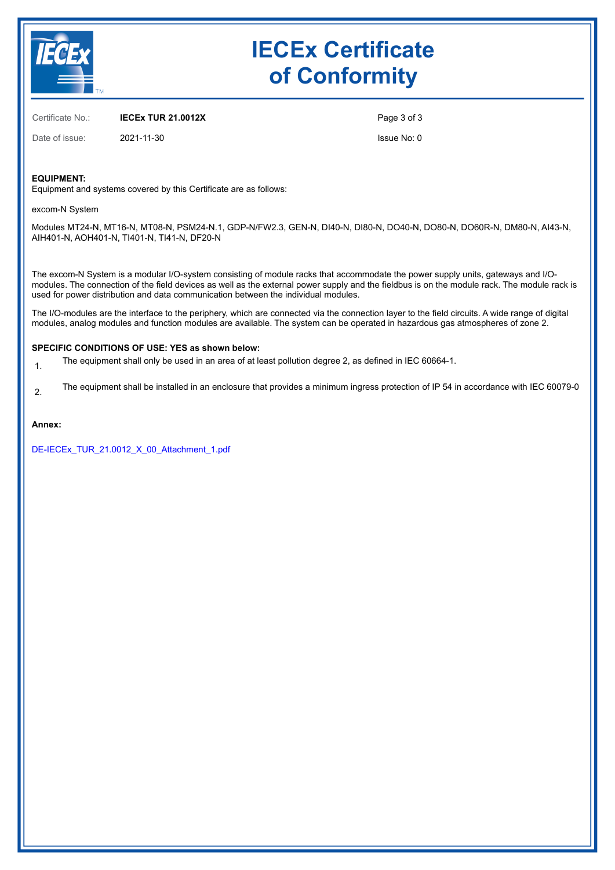

# **IECEx Certificate of Conformity**

Certificate No.: **IECEx TUR 21.0012X**

Date of issue: 2021-11-30

Page 3 of 3 Issue No: 0

**EQUIPMENT:**

Equipment and systems covered by this Certificate are as follows:

excom-N System

Modules MT24-N, MT16-N, MT08-N, PSM24-N.1, GDP-N/FW2.3, GEN-N, DI40-N, DI80-N, DO40-N, DO80-N, DO60R-N, DM80-N, AI43-N, AIH401-N, AOH401-N, TI401-N, TI41-N, DF20-N

The excom-N System is a modular I/O-system consisting of module racks that accommodate the power supply units, gateways and I/Omodules. The connection of the field devices as well as the external power supply and the fieldbus is on the module rack. The module rack is used for power distribution and data communication between the individual modules.

The I/O-modules are the interface to the periphery, which are connected via the connection layer to the field circuits. A wide range of digital modules, analog modules and function modules are available. The system can be operated in hazardous gas atmospheres of zone 2.

#### **SPECIFIC CONDITIONS OF USE: YES as shown below:**

1. The equipment shall only be used in an area of at least pollution degree 2, as defined in IEC 60664-1.

2. The equipment shall be installed in an enclosure that provides a minimum ingress protection of IP 54 in accordance with IEC 60079-0

#### **Annex:**

[DE-IECEx\\_TUR\\_21.0012\\_X\\_00\\_Attachment\\_1.pdf](https://www.iecex-certs.com/#/deliverables/CERT/52803/view)